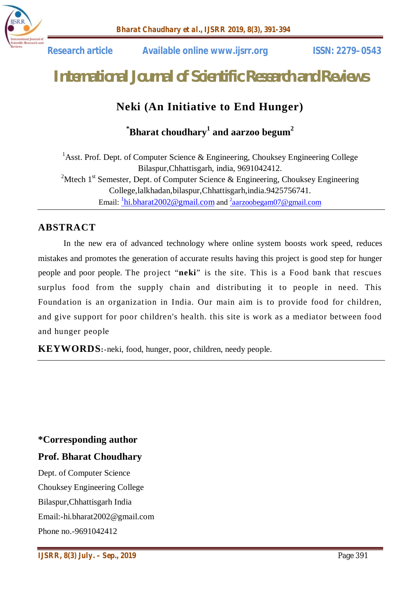

 **Research article Available online www.ijsrr.org ISSN: 2279–0543**

# *International Journal of Scientific Research and Reviews*

# **Neki (An Initiative to End Hunger)**

## **\*Bharat choudhary<sup>1</sup> and aarzoo begum<sup>2</sup>**

<sup>1</sup>Asst. Prof. Dept. of Computer Science & Engineering, Chouksey Engineering College Bilaspur,Chhattisgarh, india, 9691042412. <sup>2</sup>Mtech 1<sup>st</sup> Semester, Dept. of Computer Science & Engineering, Chouksey Engineering College,lalkhadan,bilaspur,Chhattisgarh,india.9425756741. Email: <sup>1</sup>hi.bharat2002@gmail.com and <sup>2</sup>aarzoobegam07@gmail.com

## **ABSTRACT**

In the new era of advanced technology where online system boosts work speed, reduces mistakes and promotes the generation of accurate results having this project is good step for hunger people and poor people. The project "**neki**" is the site. This is a Food bank that rescues surplus food from the supply chain and distributing it to people in need. This Foundation is an organization in India. Our main aim is to provide food for children, and give support for poor children's health. this site is work as a mediator between food and hunger people

**KEYWORDS:-**neki, food, hunger, poor, children, needy people.

## **\*Corresponding author**

### **Prof. Bharat Choudhary**

Dept. of Computer Science Chouksey Engineering College Bilaspur,Chhattisgarh India Email:-hi.bharat2002@gmail.com Phone no.-9691042412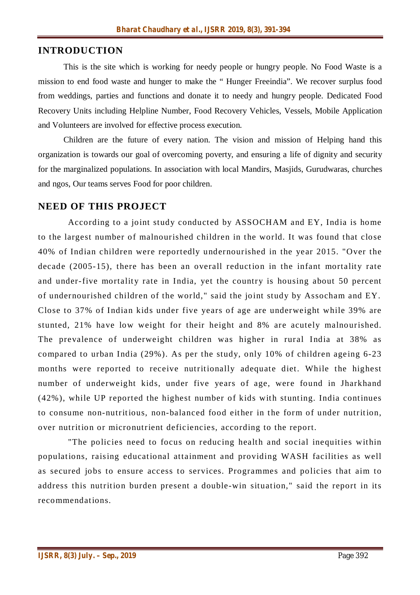## **INTRODUCTION**

This is the site which is working for needy people or hungry people. No Food Waste is a mission to end food waste and hunger to make the " Hunger Freeindia". We recover surplus food from weddings, parties and functions and donate it to needy and hungry people. Dedicated Food Recovery Units including Helpline Number, Food Recovery Vehicles, Vessels, Mobile Application and Volunteers are involved for effective process execution.

Children are the future of every nation. The vision and mission of Helping hand this organization is towards our goal of overcoming poverty, and ensuring a life of dignity and security for the marginalized populations. In association with local Mandirs, Masjids, Gurudwaras, churches and ngos, Our teams serves Food for poor children.

## **NEED OF THIS PROJECT**

According to a joint study conducted by ASSOCHAM and EY, India is home to the largest number of malnourished children in the world. It was found that close 40% of Indian children were reportedly undernourished in the year 2015. "Over the decade (2005-15), there has been an overall reduction in the infant mortality rate and under-five mortality rate in India, yet the country is housing about 50 percent of undernourished children of the world," said the joint study by Assocham and EY. Close to 37% of Indian kids under five years of age are underweight while 39% are stunted, 21% have low weight for their height and 8% are acutely malnourished. The prevalence of underweight children was higher in rural India at 38% as compared to urban India (29%). As per the study, only 10% of children ageing 6-23 months were reported to receive nutritionally adequate diet. While the highest number of underweight kids, under five years of age, were found in Jharkhand (42%), while UP reported the highest number of kids with stunting. India continues to consume non-nutritious, non-balanced food either in the form of under nutrition, over nutrition or micronutrient deficiencies, according to the report.

"The policies need to focus on reducing health and social inequities within populations, raising educational attainment and providing WASH facilities as well as secured jobs to ensure access to services. Programmes and policies that aim to address this nutrition burden present a double-win situation," said the report in its recommendations.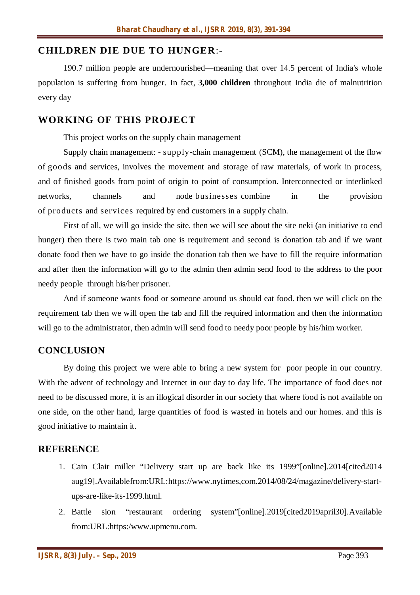### **CHILDREN DIE DUE TO HUNGER**:-

190.7 million people are undernourished—meaning that over 14.5 percent of India's whole population is suffering from hunger. In fact, **3,000 children** throughout India die of malnutrition every day

#### **WORKING OF THIS PROJECT**

This project works on the supply chain management

Supply chain management: - supply**-**chain management (SCM), the management of the flow of goods and services, involves the movement and storage of raw materials, of work in process, and of finished goods from point of origin to point of consumption. Interconnected or interlinked networks, channels and node businesses combine in the provision of products and services required by end customers in a supply chain.

First of all, we will go inside the site. then we will see about the site neki (an initiative to end hunger) then there is two main tab one is requirement and second is donation tab and if we want donate food then we have to go inside the donation tab then we have to fill the require information and after then the information will go to the admin then admin send food to the address to the poor needy people through his/her prisoner.

And if someone wants food or someone around us should eat food. then we will click on the requirement tab then we will open the tab and fill the required information and then the information will go to the administrator, then admin will send food to needy poor people by his/him worker.

#### **CONCLUSION**

By doing this project we were able to bring a new system for poor people in our country. With the advent of technology and Internet in our day to day life. The importance of food does not need to be discussed more, it is an illogical disorder in our society that where food is not available on one side, on the other hand, large quantities of food is wasted in hotels and our homes. and this is good initiative to maintain it.

#### **REFERENCE**

- 1. Cain Clair miller "Delivery start up are back like its 1999"[online].2014[cited2014 aug19].Availablefrom:URL:https://www.nytimes,com.2014/08/24/magazine/delivery-startups-are-like-its-1999.html.
- 2. Battle sion "restaurant ordering system"[online].2019[cited2019april30].Available from:URL:https:/www.upmenu.com.